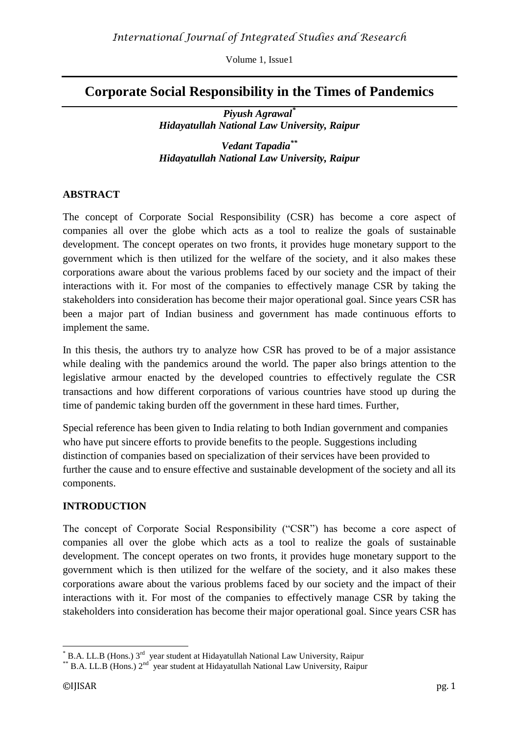# **Corporate Social Responsibility in the Times of Pandemics**

*Piyush Agrawal \* Hidayatullah National Law University, Raipur*

*Vedant Tapadia \*\* Hidayatullah National Law University, Raipur*

# **ABSTRACT**

The concept of Corporate Social Responsibility (CSR) has become a core aspect of companies all over the globe which acts as a tool to realize the goals of sustainable development. The concept operates on two fronts, it provides huge monetary support to the government which is then utilized for the welfare of the society, and it also makes these corporations aware about the various problems faced by our society and the impact of their interactions with it. For most of the companies to effectively manage CSR by taking the stakeholders into consideration has become their major operational goal. Since years CSR has been a major part of Indian business and government has made continuous efforts to implement the same.

In this thesis, the authors try to analyze how CSR has proved to be of a major assistance while dealing with the pandemics around the world. The paper also brings attention to the legislative armour enacted by the developed countries to effectively regulate the CSR transactions and how different corporations of various countries have stood up during the time of pandemic taking burden off the government in these hard times. Further,

Special reference has been given to India relating to both Indian government and companies who have put sincere efforts to provide benefits to the people. Suggestions including distinction of companies based on specialization of their services have been provided to further the cause and to ensure effective and sustainable development of the society and all its components.

# **INTRODUCTION**

The concept of Corporate Social Responsibility ("CSR") has become a core aspect of companies all over the globe which acts as a tool to realize the goals of sustainable development. The concept operates on two fronts, it provides huge monetary support to the government which is then utilized for the welfare of the society, and it also makes these corporations aware about the various problems faced by our society and the impact of their interactions with it. For most of the companies to effectively manage CSR by taking the stakeholders into consideration has become their major operational goal. Since years CSR has

<sup>&</sup>lt;u>.</u>  $*$  B.A. LL.B (Hons.) 3<sup>rd</sup> year student at Hidayatullah National Law University, Raipur

 $*$ <sup>\*</sup> B.A. LL.B (Hons.) 2<sup>nd</sup> year student at Hidayatullah National Law University, Raipur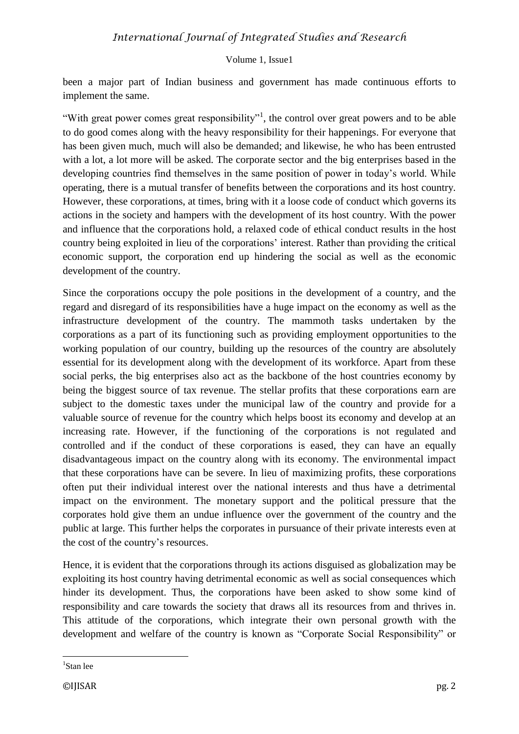been a major part of Indian business and government has made continuous efforts to implement the same.

"With great power comes great responsibility"<sup>1</sup>, the control over great powers and to be able to do good comes along with the heavy responsibility for their happenings. For everyone that has been given much, much will also be demanded; and likewise, he who has been entrusted with a lot, a lot more will be asked. The corporate sector and the big enterprises based in the developing countries find themselves in the same position of power in today's world. While operating, there is a mutual transfer of benefits between the corporations and its host country. However, these corporations, at times, bring with it a loose code of conduct which governs its actions in the society and hampers with the development of its host country. With the power and influence that the corporations hold, a relaxed code of ethical conduct results in the host country being exploited in lieu of the corporations' interest. Rather than providing the critical economic support, the corporation end up hindering the social as well as the economic development of the country.

Since the corporations occupy the pole positions in the development of a country, and the regard and disregard of its responsibilities have a huge impact on the economy as well as the infrastructure development of the country. The mammoth tasks undertaken by the corporations as a part of its functioning such as providing employment opportunities to the working population of our country, building up the resources of the country are absolutely essential for its development along with the development of its workforce. Apart from these social perks, the big enterprises also act as the backbone of the host countries economy by being the biggest source of tax revenue. The stellar profits that these corporations earn are subject to the domestic taxes under the municipal law of the country and provide for a valuable source of revenue for the country which helps boost its economy and develop at an increasing rate. However, if the functioning of the corporations is not regulated and controlled and if the conduct of these corporations is eased, they can have an equally disadvantageous impact on the country along with its economy. The environmental impact that these corporations have can be severe. In lieu of maximizing profits, these corporations often put their individual interest over the national interests and thus have a detrimental impact on the environment. The monetary support and the political pressure that the corporates hold give them an undue influence over the government of the country and the public at large. This further helps the corporates in pursuance of their private interests even at the cost of the country's resources.

Hence, it is evident that the corporations through its actions disguised as globalization may be exploiting its host country having detrimental economic as well as social consequences which hinder its development. Thus, the corporations have been asked to show some kind of responsibility and care towards the society that draws all its resources from and thrives in. This attitude of the corporations, which integrate their own personal growth with the development and welfare of the country is known as "Corporate Social Responsibility" or

<sup>1</sup> Stan lee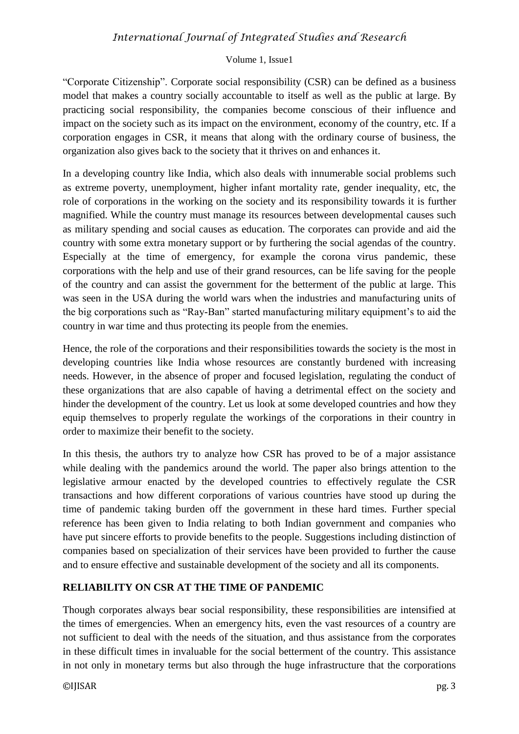## Volume 1, Issue1

"Corporate Citizenship". Corporate social responsibility (CSR) can be defined as a business model that makes a country socially accountable to itself as well as the public at large. By practicing social responsibility, the companies become conscious of their influence and impact on the society such as its impact on the environment, economy of the country, etc. If a corporation engages in CSR, it means that along with the ordinary course of business, the organization also gives back to the society that it thrives on and enhances it.

In a developing country like India, which also deals with innumerable social problems such as extreme poverty, unemployment, higher infant mortality rate, gender inequality, etc, the role of corporations in the working on the society and its responsibility towards it is further magnified. While the country must manage its resources between developmental causes such as military spending and social causes as education. The corporates can provide and aid the country with some extra monetary support or by furthering the social agendas of the country. Especially at the time of emergency, for example the corona virus pandemic, these corporations with the help and use of their grand resources, can be life saving for the people of the country and can assist the government for the betterment of the public at large. This was seen in the USA during the world wars when the industries and manufacturing units of the big corporations such as "Ray-Ban" started manufacturing military equipment's to aid the country in war time and thus protecting its people from the enemies.

Hence, the role of the corporations and their responsibilities towards the society is the most in developing countries like India whose resources are constantly burdened with increasing needs. However, in the absence of proper and focused legislation, regulating the conduct of these organizations that are also capable of having a detrimental effect on the society and hinder the development of the country. Let us look at some developed countries and how they equip themselves to properly regulate the workings of the corporations in their country in order to maximize their benefit to the society.

In this thesis, the authors try to analyze how CSR has proved to be of a major assistance while dealing with the pandemics around the world. The paper also brings attention to the legislative armour enacted by the developed countries to effectively regulate the CSR transactions and how different corporations of various countries have stood up during the time of pandemic taking burden off the government in these hard times. Further special reference has been given to India relating to both Indian government and companies who have put sincere efforts to provide benefits to the people. Suggestions including distinction of companies based on specialization of their services have been provided to further the cause and to ensure effective and sustainable development of the society and all its components.

# **RELIABILITY ON CSR AT THE TIME OF PANDEMIC**

Though corporates always bear social responsibility, these responsibilities are intensified at the times of emergencies. When an emergency hits, even the vast resources of a country are not sufficient to deal with the needs of the situation, and thus assistance from the corporates in these difficult times in invaluable for the social betterment of the country. This assistance in not only in monetary terms but also through the huge infrastructure that the corporations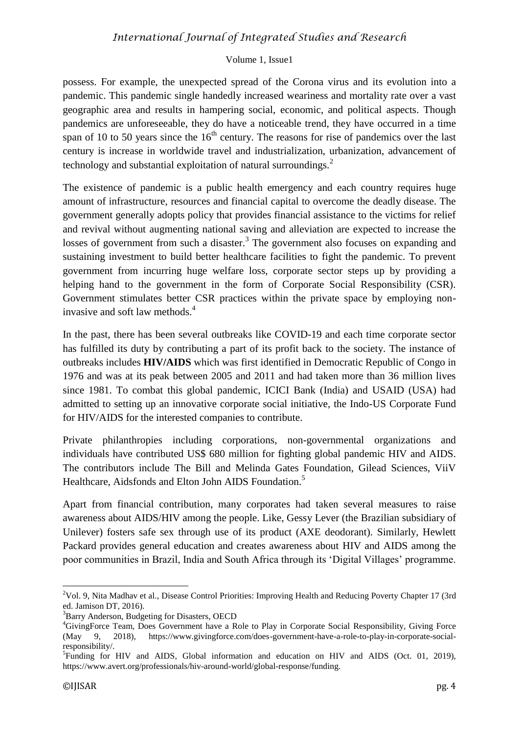## Volume 1, Issue1

possess. For example, the unexpected spread of the Corona virus and its evolution into a pandemic. This pandemic single handedly increased weariness and mortality rate over a vast geographic area and results in hampering social, economic, and political aspects. Though pandemics are unforeseeable, they do have a noticeable trend, they have occurred in a time span of 10 to 50 years since the  $16<sup>th</sup>$  century. The reasons for rise of pandemics over the last century is increase in worldwide travel and industrialization, urbanization, advancement of technology and substantial exploitation of natural surroundings. $<sup>2</sup>$ </sup>

The existence of pandemic is a public health emergency and each country requires huge amount of infrastructure, resources and financial capital to overcome the deadly disease. The government generally adopts policy that provides financial assistance to the victims for relief and revival without augmenting national saving and alleviation are expected to increase the losses of government from such a disaster.<sup>3</sup> The government also focuses on expanding and sustaining investment to build better healthcare facilities to fight the pandemic. To prevent government from incurring huge welfare loss, corporate sector steps up by providing a helping hand to the government in the form of Corporate Social Responsibility (CSR). Government stimulates better CSR practices within the private space by employing noninvasive and soft law methods.<sup>4</sup>

In the past, there has been several outbreaks like COVID-19 and each time corporate sector has fulfilled its duty by contributing a part of its profit back to the society. The instance of outbreaks includes **HIV/AIDS** which was first identified in Democratic Republic of Congo in 1976 and was at its peak between 2005 and 2011 and had taken more than 36 million lives since 1981. To combat this global pandemic, ICICI Bank (India) and USAID (USA) had admitted to setting up an innovative corporate social initiative, the Indo-US Corporate Fund for HIV/AIDS for the interested companies to contribute.

Private philanthropies including corporations, non-governmental organizations and individuals have contributed US\$ 680 million for fighting global pandemic HIV and AIDS. The contributors include The Bill and Melinda Gates Foundation, Gilead Sciences, ViiV Healthcare, Aidsfonds and Elton John AIDS Foundation.<sup>5</sup>

Apart from financial contribution, many corporates had taken several measures to raise awareness about AIDS/HIV among the people. Like, Gessy Lever (the Brazilian subsidiary of Unilever) fosters safe sex through use of its product (AXE deodorant). Similarly, Hewlett Packard provides general education and creates awareness about HIV and AIDS among the poor communities in Brazil, India and South Africa through its 'Digital Villages' programme.

<sup>&</sup>lt;sup>2</sup>Vol. 9, Nita Madhav et al., Disease Control Priorities: Improving Health and Reducing Poverty Chapter 17 (3rd ed. Jamison DT, 2016).

<sup>&</sup>lt;sup>3</sup>Barry Anderson, Budgeting for Disasters, OECD

<sup>4</sup>GivingForce Team, Does Government have a Role to Play in Corporate Social Responsibility, Giving Force (May 9, 2018), https://www.givingforce.com/does-government-have-a-role-to-play-in-corporate-socialresponsibility/.

<sup>&</sup>lt;sup>5</sup>Funding for HIV and AIDS, Global information and education on HIV and AIDS (Oct. 01, 2019), https://www.avert.org/professionals/hiv-around-world/global-response/funding.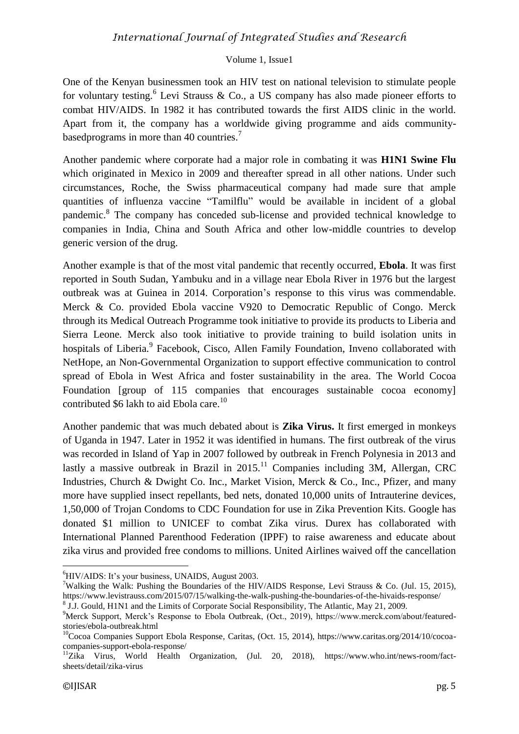#### Volume 1, Issue1

One of the Kenyan businessmen took an HIV test on national television to stimulate people for voluntary testing.<sup>6</sup> Levi Strauss & Co., a US company has also made pioneer efforts to combat HIV/AIDS. In 1982 it has contributed towards the first AIDS clinic in the world. Apart from it, the company has a worldwide giving programme and aids communitybased programs in more than 40 countries.<sup>7</sup>

Another pandemic where corporate had a major role in combating it was **H1N1 Swine Flu** which originated in Mexico in 2009 and thereafter spread in all other nations. Under such circumstances, Roche, the Swiss pharmaceutical company had made sure that ample quantities of influenza vaccine "Tamilflu" would be available in incident of a global pandemic.<sup>8</sup> The company has conceded sub-license and provided technical knowledge to companies in India, China and South Africa and other low-middle countries to develop generic version of the drug.

Another example is that of the most vital pandemic that recently occurred, **Ebola**. It was first reported in South Sudan, Yambuku and in a village near Ebola River in 1976 but the largest outbreak was at Guinea in 2014. Corporation's response to this virus was commendable. Merck & Co. provided Ebola vaccine V920 to Democratic Republic of Congo. Merck through its Medical Outreach Programme took initiative to provide its products to Liberia and Sierra Leone. Merck also took initiative to provide training to build isolation units in hospitals of Liberia.<sup>9</sup> Facebook, Cisco, Allen Family Foundation, Inveno collaborated with NetHope, an Non-Governmental Organization to support effective communication to control spread of Ebola in West Africa and foster sustainability in the area. The World Cocoa Foundation [group of 115 companies that encourages sustainable cocoa economy] contributed \$6 lakh to aid Ebola care.<sup>10</sup>

Another pandemic that was much debated about is **Zika Virus.** It first emerged in monkeys of Uganda in 1947. Later in 1952 it was identified in humans. The first outbreak of the virus was recorded in Island of Yap in 2007 followed by outbreak in French Polynesia in 2013 and lastly a massive outbreak in Brazil in  $2015$ .<sup>11</sup> Companies including 3M, Allergan, CRC Industries, Church & Dwight Co. Inc., Market Vision, Merck & Co., Inc., Pfizer, and many more have supplied insect repellants, bed nets, donated 10,000 units of Intrauterine devices, 1,50,000 of Trojan Condoms to CDC Foundation for use in Zika Prevention Kits. Google has donated \$1 million to UNICEF to combat Zika virus. Durex has collaborated with International Planned Parenthood Federation (IPPF) to raise awareness and educate about zika virus and provided free condoms to millions. United Airlines waived off the cancellation

 ${}^{6}$ HIV/AIDS: It's your business, UNAIDS, August 2003.

<sup>7</sup>Walking the Walk: Pushing the Boundaries of the HIV/AIDS Response, Levi Strauss & Co. (Jul. 15, 2015), https://www.levistrauss.com/2015/07/15/walking-the-walk-pushing-the-boundaries-of-the-hivaids-response/

<sup>&</sup>lt;sup>8</sup> J.J. Gould, H1N1 and the Limits of Corporate Social Responsibility, The Atlantic, May 21, 2009.

<sup>9</sup>Merck Support, Merck's Response to Ebola Outbreak, (Oct., 2019), https://www.merck.com/about/featuredstories/ebola-outbreak.html

<sup>&</sup>lt;sup>10</sup>Cocoa Companies Support Ebola Response, Caritas, (Oct. 15, 2014), https://www.caritas.org/2014/10/cocoacompanies-support-ebola-response/

<sup>&</sup>lt;sup>11</sup>Zika Virus, World Health Organization, (Jul. 20, 2018), https://www.who.int/news-room/factsheets/detail/zika-virus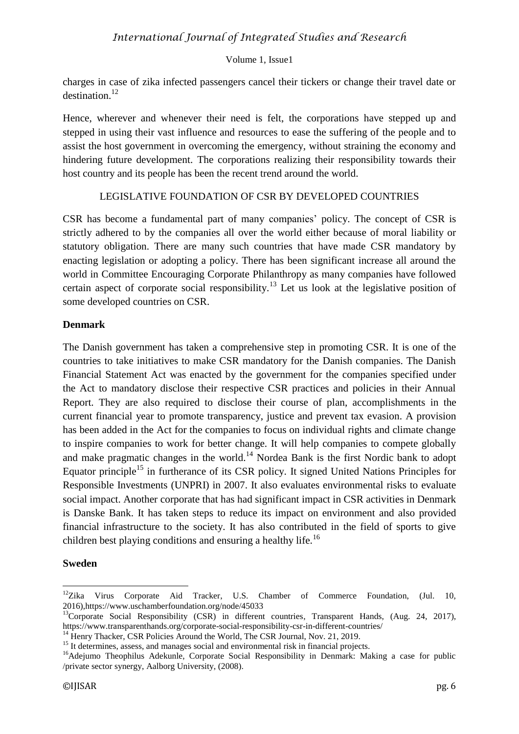charges in case of zika infected passengers cancel their tickers or change their travel date or destination<sup>12</sup>

Hence, wherever and whenever their need is felt, the corporations have stepped up and stepped in using their vast influence and resources to ease the suffering of the people and to assist the host government in overcoming the emergency, without straining the economy and hindering future development. The corporations realizing their responsibility towards their host country and its people has been the recent trend around the world.

## LEGISLATIVE FOUNDATION OF CSR BY DEVELOPED COUNTRIES

CSR has become a fundamental part of many companies' policy. The concept of CSR is strictly adhered to by the companies all over the world either because of moral liability or statutory obligation. There are many such countries that have made CSR mandatory by enacting legislation or adopting a policy. There has been significant increase all around the world in Committee Encouraging Corporate Philanthropy as many companies have followed certain aspect of corporate social responsibility.<sup>13</sup> Let us look at the legislative position of some developed countries on CSR.

## **Denmark**

The Danish government has taken a comprehensive step in promoting CSR. It is one of the countries to take initiatives to make CSR mandatory for the Danish companies. The Danish Financial Statement Act was enacted by the government for the companies specified under the Act to mandatory disclose their respective CSR practices and policies in their Annual Report. They are also required to disclose their course of plan, accomplishments in the current financial year to promote transparency, justice and prevent tax evasion. A provision has been added in the Act for the companies to focus on individual rights and climate change to inspire companies to work for better change. It will help companies to compete globally and make pragmatic changes in the world.<sup>14</sup> Nordea Bank is the first Nordic bank to adopt Equator principle<sup>15</sup> in furtherance of its CSR policy. It signed United Nations Principles for Responsible Investments (UNPRI) in 2007. It also evaluates environmental risks to evaluate social impact. Another corporate that has had significant impact in CSR activities in Denmark is Danske Bank. It has taken steps to reduce its impact on environment and also provided financial infrastructure to the society. It has also contributed in the field of sports to give children best playing conditions and ensuring a healthy life.<sup>16</sup>

## **Sweden**

<sup>1</sup> <sup>12</sup>Zika Virus Corporate Aid Tracker, U.S. Chamber of Commerce Foundation, (Jul. 10, 2016),https://www.uschamberfoundation.org/node/45033

<sup>&</sup>lt;sup>13</sup>Corporate Social Responsibility (CSR) in different countries, Transparent Hands, (Aug. 24, 2017), https://www.transparenthands.org/corporate-social-responsibility-csr-in-different-countries/

<sup>&</sup>lt;sup>14</sup> Henry Thacker, CSR Policies Around the World, The CSR Journal, Nov. 21, 2019.

<sup>&</sup>lt;sup>15</sup> It determines, assess, and manages social and environmental risk in financial projects.

<sup>&</sup>lt;sup>16</sup>Adeiumo Theophilus Adekunle, Corporate Social Responsibility in Denmark: Making a case for public /private sector synergy, Aalborg University, (2008).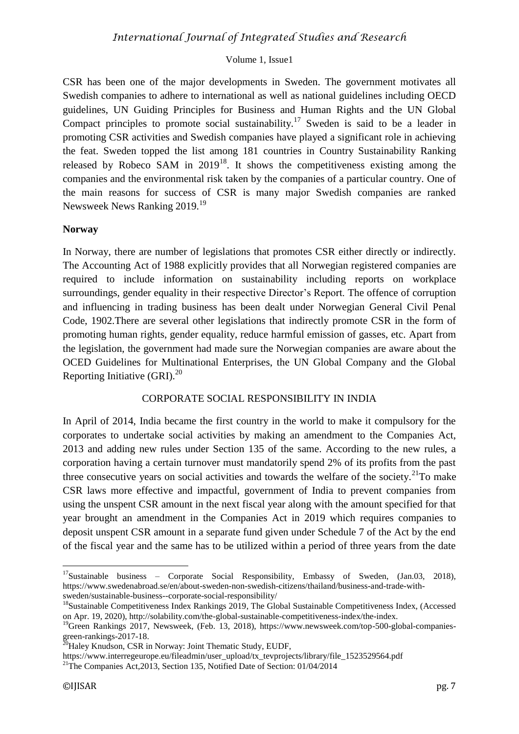#### Volume 1, Issue1

CSR has been one of the major developments in Sweden. The government motivates all Swedish companies to adhere to international as well as national guidelines including OECD guidelines, UN Guiding Principles for Business and Human Rights and the UN Global Compact principles to promote social sustainability.<sup>17</sup> Sweden is said to be a leader in promoting CSR activities and Swedish companies have played a significant role in achieving the feat. Sweden topped the list among 181 countries in Country Sustainability Ranking released by Robeco SAM in  $2019^{18}$ . It shows the competitiveness existing among the companies and the environmental risk taken by the companies of a particular country. One of the main reasons for success of CSR is many major Swedish companies are ranked Newsweek News Ranking 2019.<sup>19</sup>

#### **Norway**

In Norway, there are number of legislations that promotes CSR either directly or indirectly. The Accounting Act of 1988 explicitly provides that all Norwegian registered companies are required to include information on sustainability including reports on workplace surroundings, gender equality in their respective Director's Report. The offence of corruption and influencing in trading business has been dealt under Norwegian General Civil Penal Code, 1902.There are several other legislations that indirectly promote CSR in the form of promoting human rights, gender equality, reduce harmful emission of gasses, etc. Apart from the legislation, the government had made sure the Norwegian companies are aware about the OCED Guidelines for Multinational Enterprises, the UN Global Company and the Global Reporting Initiative  $(GRI)$ <sup>20</sup>

## CORPORATE SOCIAL RESPONSIBILITY IN INDIA

In April of 2014, India became the first country in the world to make it compulsory for the corporates to undertake social activities by making an amendment to the Companies Act, 2013 and adding new rules under Section 135 of the same. According to the new rules, a corporation having a certain turnover must mandatorily spend 2% of its profits from the past three consecutive years on social activities and towards the welfare of the society.<sup>21</sup>To make CSR laws more effective and impactful, government of India to prevent companies from using the unspent CSR amount in the next fiscal year along with the amount specified for that year brought an amendment in the Companies Act in 2019 which requires companies to deposit unspent CSR amount in a separate fund given under Schedule 7 of the Act by the end of the fiscal year and the same has to be utilized within a period of three years from the date

<sup>&</sup>lt;sup>17</sup>Sustainable business – Corporate Social Responsibility, Embassy of Sweden, (Jan.03, 2018), https://www.swedenabroad.se/en/about-sweden-non-swedish-citizens/thailand/business-and-trade-withsweden/sustainable-business--corporate-social-responsibility/

<sup>&</sup>lt;sup>18</sup>Sustainable Competitiveness Index Rankings 2019, The Global Sustainable Competitiveness Index, (Accessed on Apr. 19, 2020), http://solability.com/the-global-sustainable-competitiveness-index/the-index.

<sup>&</sup>lt;sup>19</sup>Green Rankings 2017, Newsweek, (Feb. 13, 2018), https://www.newsweek.com/top-500-global-companiesgreen-rankings-2017-18.

<sup>&</sup>lt;sup>20</sup>Haley Knudson, CSR in Norway: Joint Thematic Study, EUDF,

https://www.interregeurope.eu/fileadmin/user\_upload/tx\_tevprojects/library/file\_1523529564.pdf

<sup>&</sup>lt;sup>21</sup>The Companies Act, 2013, Section 135, Notified Date of Section:  $01/04/2014$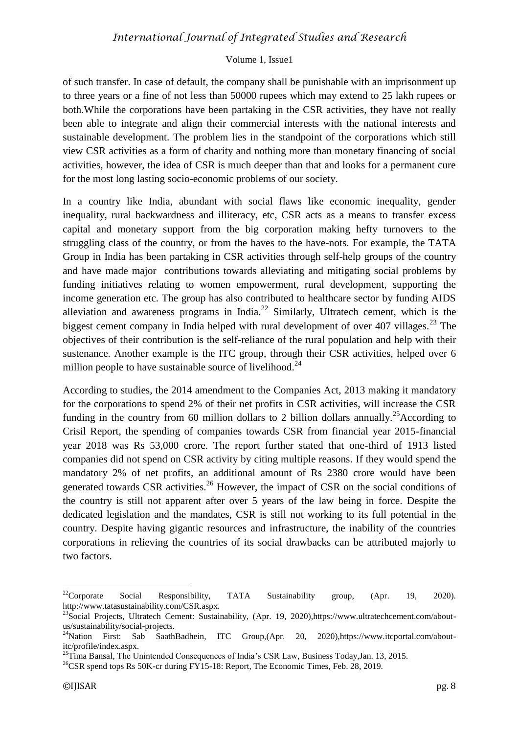#### Volume 1, Issue1

of such transfer. In case of default, the company shall be punishable with an imprisonment up to three years or a fine of not less than 50000 rupees which may extend to 25 lakh rupees or both.While the corporations have been partaking in the CSR activities, they have not really been able to integrate and align their commercial interests with the national interests and sustainable development. The problem lies in the standpoint of the corporations which still view CSR activities as a form of charity and nothing more than monetary financing of social activities, however, the idea of CSR is much deeper than that and looks for a permanent cure for the most long lasting socio-economic problems of our society.

In a country like India, abundant with social flaws like economic inequality, gender inequality, rural backwardness and illiteracy, etc, CSR acts as a means to transfer excess capital and monetary support from the big corporation making hefty turnovers to the struggling class of the country, or from the haves to the have-nots. For example, the TATA Group in India has been partaking in CSR activities through self-help groups of the country and have made major contributions towards alleviating and mitigating social problems by funding initiatives relating to women empowerment, rural development, supporting the income generation etc. The group has also contributed to healthcare sector by funding AIDS alleviation and awareness programs in India.<sup>22</sup> Similarly, Ultratech cement, which is the biggest cement company in India helped with rural development of over 407 villages.<sup>23</sup> The objectives of their contribution is the self-reliance of the rural population and help with their sustenance. Another example is the ITC group, through their CSR activities, helped over 6 million people to have sustainable source of livelihood.<sup>24</sup>

According to studies, the 2014 amendment to the Companies Act, 2013 making it mandatory for the corporations to spend 2% of their net profits in CSR activities, will increase the CSR funding in the country from 60 million dollars to 2 billion dollars annually.<sup>25</sup>According to Crisil Report, the spending of companies towards CSR from financial year 2015-financial year 2018 was Rs 53,000 crore. The report further stated that one-third of 1913 listed companies did not spend on CSR activity by citing multiple reasons. If they would spend the mandatory 2% of net profits, an additional amount of Rs 2380 crore would have been generated towards CSR activities.<sup>26</sup> However, the impact of CSR on the social conditions of the country is still not apparent after over 5 years of the law being in force. Despite the dedicated legislation and the mandates, CSR is still not working to its full potential in the country. Despite having gigantic resources and infrastructure, the inability of the countries corporations in relieving the countries of its social drawbacks can be attributed majorly to two factors.

<sup>&</sup>lt;sup>22</sup>Corporate Social Responsibility, TATA Sustainability group,  $(Apr. 19, 2020)$ . http://www.tatasustainability.com/CSR.aspx.

<sup>&</sup>lt;sup>23</sup>Social Projects, Ultratech Cement: Sustainability, (Apr. 19, 2020),https://www.ultratechcement.com/aboutus/sustainability/social-projects.

<sup>&</sup>lt;sup>24</sup>Nation First: Sab SaathBadhein, ITC Group,(Apr. 20, 2020),https://www.itcportal.com/aboutitc/profile/index.aspx.

<sup>&</sup>lt;sup>25</sup>Tima Bansal, The Unintended Consequences of India's CSR Law, Business Today, Jan. 13, 2015.

 $^{26}$ CSR spend tops Rs 50K-cr during FY15-18: Report, The Economic Times, Feb. 28, 2019.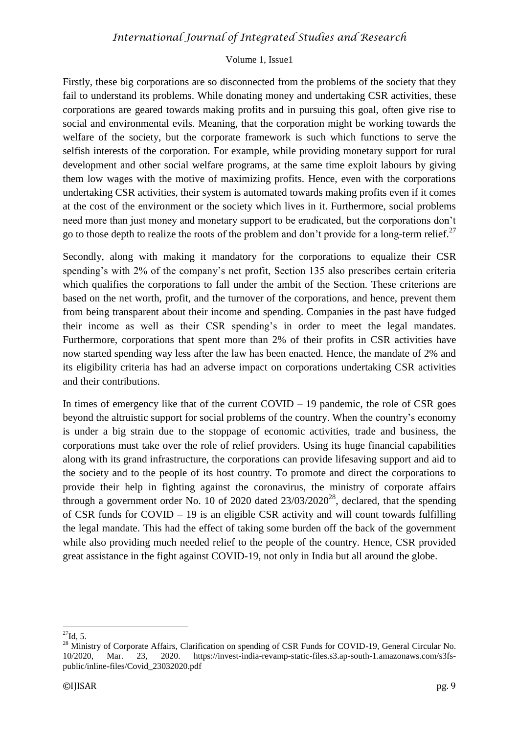#### Volume 1, Issue1

Firstly, these big corporations are so disconnected from the problems of the society that they fail to understand its problems. While donating money and undertaking CSR activities, these corporations are geared towards making profits and in pursuing this goal, often give rise to social and environmental evils. Meaning, that the corporation might be working towards the welfare of the society, but the corporate framework is such which functions to serve the selfish interests of the corporation. For example, while providing monetary support for rural development and other social welfare programs, at the same time exploit labours by giving them low wages with the motive of maximizing profits. Hence, even with the corporations undertaking CSR activities, their system is automated towards making profits even if it comes at the cost of the environment or the society which lives in it. Furthermore, social problems need more than just money and monetary support to be eradicated, but the corporations don't go to those depth to realize the roots of the problem and don't provide for a long-term relief.<sup>27</sup>

Secondly, along with making it mandatory for the corporations to equalize their CSR spending's with 2% of the company's net profit, Section 135 also prescribes certain criteria which qualifies the corporations to fall under the ambit of the Section. These criterions are based on the net worth, profit, and the turnover of the corporations, and hence, prevent them from being transparent about their income and spending. Companies in the past have fudged their income as well as their CSR spending's in order to meet the legal mandates. Furthermore, corporations that spent more than 2% of their profits in CSR activities have now started spending way less after the law has been enacted. Hence, the mandate of 2% and its eligibility criteria has had an adverse impact on corporations undertaking CSR activities and their contributions.

In times of emergency like that of the current  $COVID - 19$  pandemic, the role of  $CSR$  goes beyond the altruistic support for social problems of the country. When the country's economy is under a big strain due to the stoppage of economic activities, trade and business, the corporations must take over the role of relief providers. Using its huge financial capabilities along with its grand infrastructure, the corporations can provide lifesaving support and aid to the society and to the people of its host country. To promote and direct the corporations to provide their help in fighting against the coronavirus, the ministry of corporate affairs through a government order No. 10 of 2020 dated  $23/03/2020^{28}$ , declared, that the spending of CSR funds for COVID – 19 is an eligible CSR activity and will count towards fulfilling the legal mandate. This had the effect of taking some burden off the back of the government while also providing much needed relief to the people of the country. Hence, CSR provided great assistance in the fight against COVID-19, not only in India but all around the globe.

 $^{27}$ Id, 5.

<sup>&</sup>lt;sup>28</sup> Ministry of Corporate Affairs, Clarification on spending of CSR Funds for COVID-19, General Circular No. 10/2020, Mar. 23, 2020. https://invest-india-revamp-static-files.s3.ap-south-1.amazonaws.com/s3fspublic/inline-files/Covid\_23032020.pdf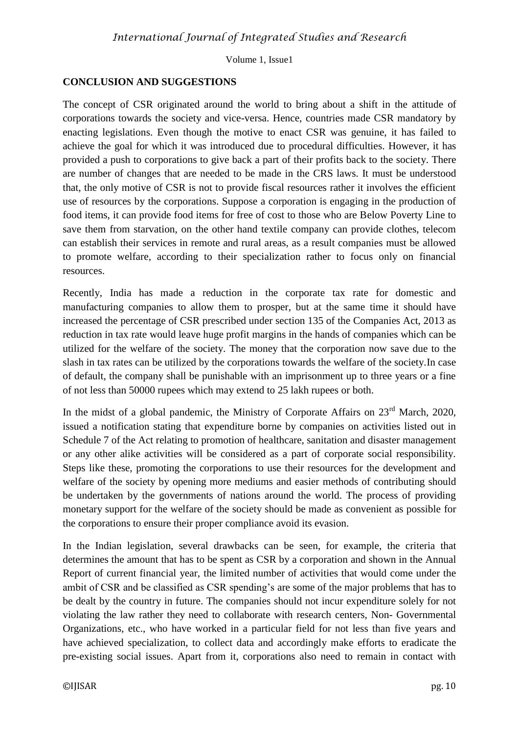# **CONCLUSION AND SUGGESTIONS**

The concept of CSR originated around the world to bring about a shift in the attitude of corporations towards the society and vice-versa. Hence, countries made CSR mandatory by enacting legislations. Even though the motive to enact CSR was genuine, it has failed to achieve the goal for which it was introduced due to procedural difficulties. However, it has provided a push to corporations to give back a part of their profits back to the society. There are number of changes that are needed to be made in the CRS laws. It must be understood that, the only motive of CSR is not to provide fiscal resources rather it involves the efficient use of resources by the corporations. Suppose a corporation is engaging in the production of food items, it can provide food items for free of cost to those who are Below Poverty Line to save them from starvation, on the other hand textile company can provide clothes, telecom can establish their services in remote and rural areas, as a result companies must be allowed to promote welfare, according to their specialization rather to focus only on financial resources.

Recently, India has made a reduction in the corporate tax rate for domestic and manufacturing companies to allow them to prosper, but at the same time it should have increased the percentage of CSR prescribed under section 135 of the Companies Act, 2013 as reduction in tax rate would leave huge profit margins in the hands of companies which can be utilized for the welfare of the society. The money that the corporation now save due to the slash in tax rates can be utilized by the corporations towards the welfare of the society.In case of default, the company shall be punishable with an imprisonment up to three years or a fine of not less than 50000 rupees which may extend to 25 lakh rupees or both.

In the midst of a global pandemic, the Ministry of Corporate Affairs on  $23<sup>rd</sup>$  March, 2020, issued a notification stating that expenditure borne by companies on activities listed out in Schedule 7 of the Act relating to promotion of healthcare, sanitation and disaster management or any other alike activities will be considered as a part of corporate social responsibility. Steps like these, promoting the corporations to use their resources for the development and welfare of the society by opening more mediums and easier methods of contributing should be undertaken by the governments of nations around the world. The process of providing monetary support for the welfare of the society should be made as convenient as possible for the corporations to ensure their proper compliance avoid its evasion.

In the Indian legislation, several drawbacks can be seen, for example, the criteria that determines the amount that has to be spent as CSR by a corporation and shown in the Annual Report of current financial year, the limited number of activities that would come under the ambit of CSR and be classified as CSR spending's are some of the major problems that has to be dealt by the country in future. The companies should not incur expenditure solely for not violating the law rather they need to collaborate with research centers, Non- Governmental Organizations, etc., who have worked in a particular field for not less than five years and have achieved specialization, to collect data and accordingly make efforts to eradicate the pre-existing social issues. Apart from it, corporations also need to remain in contact with